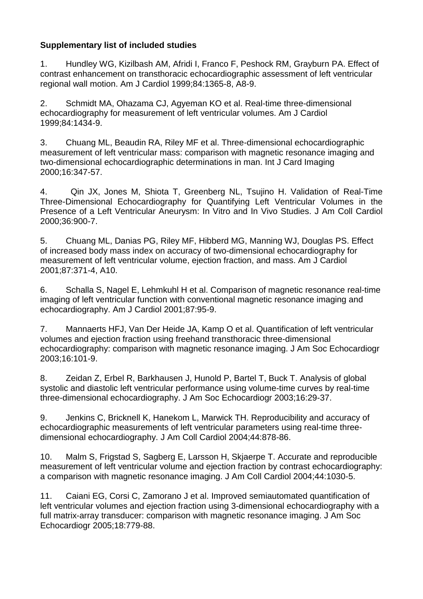## **Supplementary list of included studies**

1. Hundley WG, Kizilbash AM, Afridi I, Franco F, Peshock RM, Grayburn PA. Effect of contrast enhancement on transthoracic echocardiographic assessment of left ventricular regional wall motion. Am J Cardiol 1999;84:1365-8, A8-9.

2. Schmidt MA, Ohazama CJ, Agyeman KO et al. Real-time three-dimensional echocardiography for measurement of left ventricular volumes. Am J Cardiol 1999;84:1434-9.

3. Chuang ML, Beaudin RA, Riley MF et al. Three-dimensional echocardiographic measurement of left ventricular mass: comparison with magnetic resonance imaging and two-dimensional echocardiographic determinations in man. Int J Card Imaging 2000;16:347-57.

4. Qin JX, Jones M, Shiota T, Greenberg NL, Tsujino H. Validation of Real-Time Three-Dimensional Echocardiography for Quantifying Left Ventricular Volumes in the Presence of a Left Ventricular Aneurysm: In Vitro and In Vivo Studies. J Am Coll Cardiol 2000;36:900-7.

5. Chuang ML, Danias PG, Riley MF, Hibberd MG, Manning WJ, Douglas PS. Effect of increased body mass index on accuracy of two-dimensional echocardiography for measurement of left ventricular volume, ejection fraction, and mass. Am J Cardiol 2001;87:371-4, A10.

6. Schalla S, Nagel E, Lehmkuhl H et al. Comparison of magnetic resonance real-time imaging of left ventricular function with conventional magnetic resonance imaging and echocardiography. Am J Cardiol 2001;87:95-9.

7. Mannaerts HFJ, Van Der Heide JA, Kamp O et al. Quantification of left ventricular volumes and ejection fraction using freehand transthoracic three-dimensional echocardiography: comparison with magnetic resonance imaging. J Am Soc Echocardiogr 2003;16:101-9.

8. Zeidan Z, Erbel R, Barkhausen J, Hunold P, Bartel T, Buck T. Analysis of global systolic and diastolic left ventricular performance using volume-time curves by real-time three-dimensional echocardiography. J Am Soc Echocardiogr 2003;16:29-37.

9. Jenkins C, Bricknell K, Hanekom L, Marwick TH. Reproducibility and accuracy of echocardiographic measurements of left ventricular parameters using real-time threedimensional echocardiography. J Am Coll Cardiol 2004;44:878-86.

10. Malm S, Frigstad S, Sagberg E, Larsson H, Skjaerpe T. Accurate and reproducible measurement of left ventricular volume and ejection fraction by contrast echocardiography: a comparison with magnetic resonance imaging. J Am Coll Cardiol 2004;44:1030-5.

11. Caiani EG, Corsi C, Zamorano J et al. Improved semiautomated quantification of left ventricular volumes and ejection fraction using 3-dimensional echocardiography with a full matrix-array transducer: comparison with magnetic resonance imaging. J Am Soc Echocardiogr 2005;18:779-88.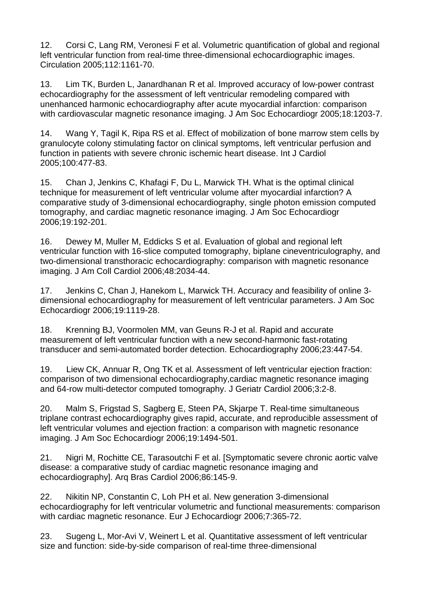12. Corsi C, Lang RM, Veronesi F et al. Volumetric quantification of global and regional left ventricular function from real-time three-dimensional echocardiographic images. Circulation 2005;112:1161-70.

13. Lim TK, Burden L, Janardhanan R et al. Improved accuracy of low-power contrast echocardiography for the assessment of left ventricular remodeling compared with unenhanced harmonic echocardiography after acute myocardial infarction: comparison with cardiovascular magnetic resonance imaging. J Am Soc Echocardiogr 2005;18:1203-7.

14. Wang Y, Tagil K, Ripa RS et al. Effect of mobilization of bone marrow stem cells by granulocyte colony stimulating factor on clinical symptoms, left ventricular perfusion and function in patients with severe chronic ischemic heart disease. Int J Cardiol 2005;100:477-83.

15. Chan J, Jenkins C, Khafagi F, Du L, Marwick TH. What is the optimal clinical technique for measurement of left ventricular volume after myocardial infarction? A comparative study of 3-dimensional echocardiography, single photon emission computed tomography, and cardiac magnetic resonance imaging. J Am Soc Echocardiogr 2006;19:192-201.

16. Dewey M, Muller M, Eddicks S et al. Evaluation of global and regional left ventricular function with 16-slice computed tomography, biplane cineventriculography, and two-dimensional transthoracic echocardiography: comparison with magnetic resonance imaging. J Am Coll Cardiol 2006;48:2034-44.

17. Jenkins C, Chan J, Hanekom L, Marwick TH. Accuracy and feasibility of online 3 dimensional echocardiography for measurement of left ventricular parameters. J Am Soc Echocardiogr 2006;19:1119-28.

18. Krenning BJ, Voormolen MM, van Geuns R-J et al. Rapid and accurate measurement of left ventricular function with a new second-harmonic fast-rotating transducer and semi-automated border detection. Echocardiography 2006;23:447-54.

19. Liew CK, Annuar R, Ong TK et al. Assessment of left ventricular ejection fraction: comparison of two dimensional echocardiography,cardiac magnetic resonance imaging and 64-row multi-detector computed tomography. J Geriatr Cardiol 2006;3:2-8.

20. Malm S, Frigstad S, Sagberg E, Steen PA, Skjarpe T. Real-time simultaneous triplane contrast echocardiography gives rapid, accurate, and reproducible assessment of left ventricular volumes and ejection fraction: a comparison with magnetic resonance imaging. J Am Soc Echocardiogr 2006;19:1494-501.

21. Nigri M, Rochitte CE, Tarasoutchi F et al. [Symptomatic severe chronic aortic valve disease: a comparative study of cardiac magnetic resonance imaging and echocardiography]. Arq Bras Cardiol 2006;86:145-9.

22. Nikitin NP, Constantin C, Loh PH et al. New generation 3-dimensional echocardiography for left ventricular volumetric and functional measurements: comparison with cardiac magnetic resonance. Eur J Echocardiogr 2006;7:365-72.

23. Sugeng L, Mor-Avi V, Weinert L et al. Quantitative assessment of left ventricular size and function: side-by-side comparison of real-time three-dimensional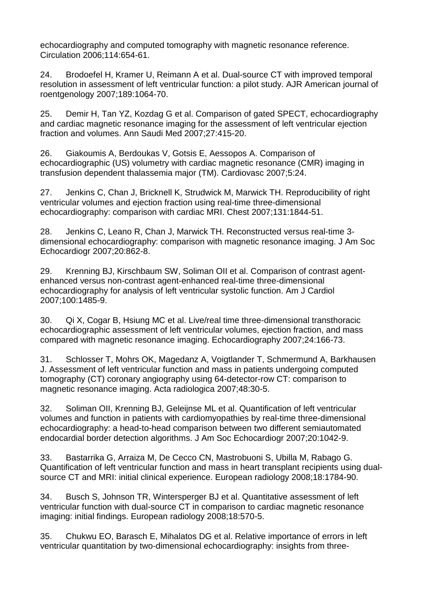echocardiography and computed tomography with magnetic resonance reference. Circulation 2006;114:654-61.

24. Brodoefel H, Kramer U, Reimann A et al. Dual-source CT with improved temporal resolution in assessment of left ventricular function: a pilot study. AJR American journal of roentgenology 2007;189:1064-70.

25. Demir H, Tan YZ, Kozdag G et al. Comparison of gated SPECT, echocardiography and cardiac magnetic resonance imaging for the assessment of left ventricular ejection fraction and volumes. Ann Saudi Med 2007;27:415-20.

26. Giakoumis A, Berdoukas V, Gotsis E, Aessopos A. Comparison of echocardiographic (US) volumetry with cardiac magnetic resonance (CMR) imaging in transfusion dependent thalassemia major (TM). Cardiovasc 2007;5:24.

27. Jenkins C, Chan J, Bricknell K, Strudwick M, Marwick TH. Reproducibility of right ventricular volumes and ejection fraction using real-time three-dimensional echocardiography: comparison with cardiac MRI. Chest 2007;131:1844-51.

28. Jenkins C, Leano R, Chan J, Marwick TH. Reconstructed versus real-time 3 dimensional echocardiography: comparison with magnetic resonance imaging. J Am Soc Echocardiogr 2007;20:862-8.

29. Krenning BJ, Kirschbaum SW, Soliman OII et al. Comparison of contrast agentenhanced versus non-contrast agent-enhanced real-time three-dimensional echocardiography for analysis of left ventricular systolic function. Am J Cardiol 2007;100:1485-9.

30. Qi X, Cogar B, Hsiung MC et al. Live/real time three-dimensional transthoracic echocardiographic assessment of left ventricular volumes, ejection fraction, and mass compared with magnetic resonance imaging. Echocardiography 2007;24:166-73.

31. Schlosser T, Mohrs OK, Magedanz A, Voigtlander T, Schmermund A, Barkhausen J. Assessment of left ventricular function and mass in patients undergoing computed tomography (CT) coronary angiography using 64-detector-row CT: comparison to magnetic resonance imaging. Acta radiologica 2007;48:30-5.

32. Soliman OII, Krenning BJ, Geleijnse ML et al. Quantification of left ventricular volumes and function in patients with cardiomyopathies by real-time three-dimensional echocardiography: a head-to-head comparison between two different semiautomated endocardial border detection algorithms. J Am Soc Echocardiogr 2007;20:1042-9.

33. Bastarrika G, Arraiza M, De Cecco CN, Mastrobuoni S, Ubilla M, Rabago G. Quantification of left ventricular function and mass in heart transplant recipients using dualsource CT and MRI: initial clinical experience. European radiology 2008;18:1784-90.

34. Busch S, Johnson TR, Wintersperger BJ et al. Quantitative assessment of left ventricular function with dual-source CT in comparison to cardiac magnetic resonance imaging: initial findings. European radiology 2008;18:570-5.

35. Chukwu EO, Barasch E, Mihalatos DG et al. Relative importance of errors in left ventricular quantitation by two-dimensional echocardiography: insights from three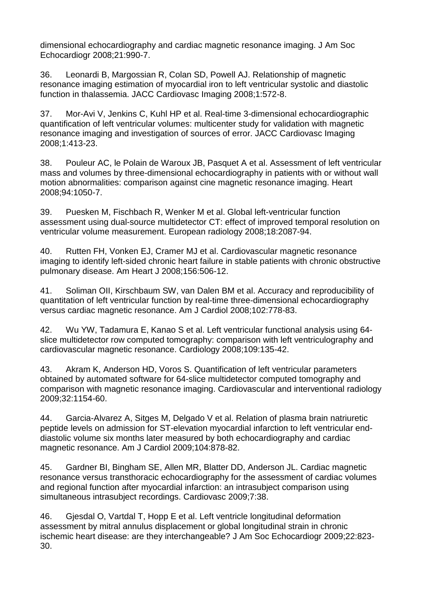dimensional echocardiography and cardiac magnetic resonance imaging. J Am Soc Echocardiogr 2008;21:990-7.

36. Leonardi B, Margossian R, Colan SD, Powell AJ. Relationship of magnetic resonance imaging estimation of myocardial iron to left ventricular systolic and diastolic function in thalassemia. JACC Cardiovasc Imaging 2008;1:572-8.

37. Mor-Avi V, Jenkins C, Kuhl HP et al. Real-time 3-dimensional echocardiographic quantification of left ventricular volumes: multicenter study for validation with magnetic resonance imaging and investigation of sources of error. JACC Cardiovasc Imaging 2008;1:413-23.

38. Pouleur AC, le Polain de Waroux JB, Pasquet A et al. Assessment of left ventricular mass and volumes by three-dimensional echocardiography in patients with or without wall motion abnormalities: comparison against cine magnetic resonance imaging. Heart 2008;94:1050-7.

39. Puesken M, Fischbach R, Wenker M et al. Global left-ventricular function assessment using dual-source multidetector CT: effect of improved temporal resolution on ventricular volume measurement. European radiology 2008;18:2087-94.

40. Rutten FH, Vonken EJ, Cramer MJ et al. Cardiovascular magnetic resonance imaging to identify left-sided chronic heart failure in stable patients with chronic obstructive pulmonary disease. Am Heart J 2008;156:506-12.

41. Soliman OII, Kirschbaum SW, van Dalen BM et al. Accuracy and reproducibility of quantitation of left ventricular function by real-time three-dimensional echocardiography versus cardiac magnetic resonance. Am J Cardiol 2008;102:778-83.

42. Wu YW, Tadamura E, Kanao S et al. Left ventricular functional analysis using 64 slice multidetector row computed tomography: comparison with left ventriculography and cardiovascular magnetic resonance. Cardiology 2008;109:135-42.

43. Akram K, Anderson HD, Voros S. Quantification of left ventricular parameters obtained by automated software for 64-slice multidetector computed tomography and comparison with magnetic resonance imaging. Cardiovascular and interventional radiology 2009;32:1154-60.

44. Garcia-Alvarez A, Sitges M, Delgado V et al. Relation of plasma brain natriuretic peptide levels on admission for ST-elevation myocardial infarction to left ventricular enddiastolic volume six months later measured by both echocardiography and cardiac magnetic resonance. Am J Cardiol 2009;104:878-82.

45. Gardner BI, Bingham SE, Allen MR, Blatter DD, Anderson JL. Cardiac magnetic resonance versus transthoracic echocardiography for the assessment of cardiac volumes and regional function after myocardial infarction: an intrasubject comparison using simultaneous intrasubject recordings. Cardiovasc 2009;7:38.

46. Gjesdal O, Vartdal T, Hopp E et al. Left ventricle longitudinal deformation assessment by mitral annulus displacement or global longitudinal strain in chronic ischemic heart disease: are they interchangeable? J Am Soc Echocardiogr 2009;22:823- 30.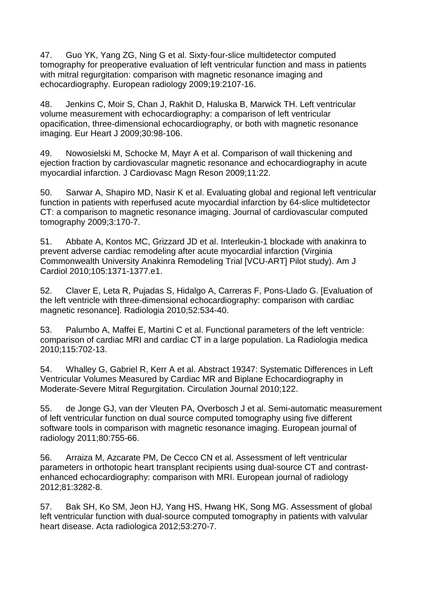47. Guo YK, Yang ZG, Ning G et al. Sixty-four-slice multidetector computed tomography for preoperative evaluation of left ventricular function and mass in patients with mitral regurgitation: comparison with magnetic resonance imaging and echocardiography. European radiology 2009;19:2107-16.

48. Jenkins C, Moir S, Chan J, Rakhit D, Haluska B, Marwick TH. Left ventricular volume measurement with echocardiography: a comparison of left ventricular opacification, three-dimensional echocardiography, or both with magnetic resonance imaging. Eur Heart J 2009;30:98-106.

49. Nowosielski M, Schocke M, Mayr A et al. Comparison of wall thickening and ejection fraction by cardiovascular magnetic resonance and echocardiography in acute myocardial infarction. J Cardiovasc Magn Reson 2009;11:22.

50. Sarwar A, Shapiro MD, Nasir K et al. Evaluating global and regional left ventricular function in patients with reperfused acute myocardial infarction by 64-slice multidetector CT: a comparison to magnetic resonance imaging. Journal of cardiovascular computed tomography 2009;3:170-7.

51. Abbate A, Kontos MC, Grizzard JD et al. Interleukin-1 blockade with anakinra to prevent adverse cardiac remodeling after acute myocardial infarction (Virginia Commonwealth University Anakinra Remodeling Trial [VCU-ART] Pilot study). Am J Cardiol 2010;105:1371-1377.e1.

52. Claver E, Leta R, Pujadas S, Hidalgo A, Carreras F, Pons-Llado G. [Evaluation of the left ventricle with three-dimensional echocardiography: comparison with cardiac magnetic resonance]. Radiologia 2010;52:534-40.

53. Palumbo A, Maffei E, Martini C et al. Functional parameters of the left ventricle: comparison of cardiac MRI and cardiac CT in a large population. La Radiologia medica 2010;115:702-13.

54. Whalley G, Gabriel R, Kerr A et al. Abstract 19347: Systematic Differences in Left Ventricular Volumes Measured by Cardiac MR and Biplane Echocardiography in Moderate-Severe Mitral Regurgitation. Circulation Journal 2010;122.

55. de Jonge GJ, van der Vleuten PA, Overbosch J et al. Semi-automatic measurement of left ventricular function on dual source computed tomography using five different software tools in comparison with magnetic resonance imaging. European journal of radiology 2011;80:755-66.

56. Arraiza M, Azcarate PM, De Cecco CN et al. Assessment of left ventricular parameters in orthotopic heart transplant recipients using dual-source CT and contrastenhanced echocardiography: comparison with MRI. European journal of radiology 2012;81:3282-8.

57. Bak SH, Ko SM, Jeon HJ, Yang HS, Hwang HK, Song MG. Assessment of global left ventricular function with dual-source computed tomography in patients with valvular heart disease. Acta radiologica 2012;53:270-7.